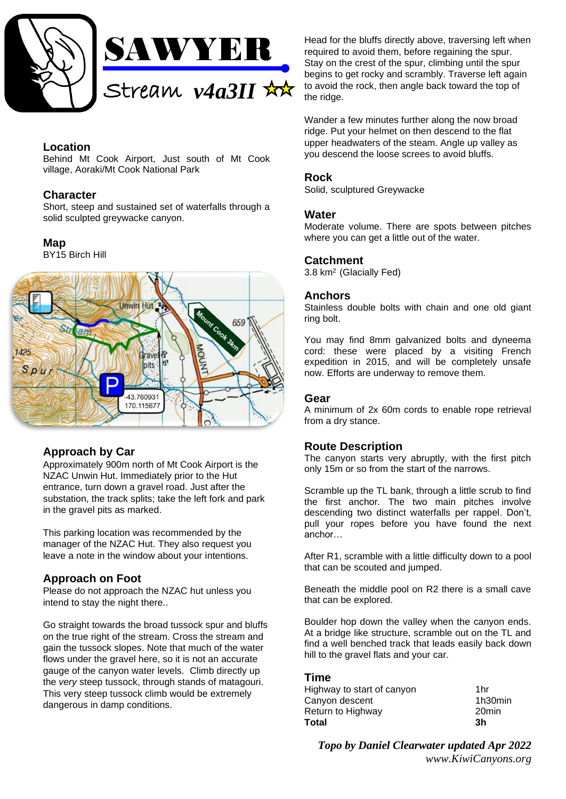

# **Location**

Behind Mt Cook Airport, Just south of Mt Cook village, Aoraki/Mt Cook National Park

## **Character**

Short, steep and sustained set of waterfalls through a solid sculpted greywacke canyon.

## **Map**

BY15 Birch Hill



# **Approach by Car**

Approximately 900m north of Mt Cook Airport is the NZAC Unwin Hut. Immediately prior to the Hut entrance, turn down a gravel road. Just after the substation, the track splits; take the left fork and park in the gravel pits as marked.

This parking location was recommended by the manager of the NZAC Hut. They also request you leave a note in the window about your intentions.

# **Approach on Foot**

Please do not approach the NZAC hut unless you intend to stay the night there..

Go straight towards the broad tussock spur and bluffs on the true right of the stream. Cross the stream and gain the tussock slopes. Note that much of the water flows under the gravel here, so it is not an accurate gauge of the canyon water levels. Climb directly up the *very* steep tussock, through stands of matagouri. This very steep tussock climb would be extremely dangerous in damp conditions.

Head for the bluffs directly above, traversing left when required to avoid them, before regaining the spur. Stay on the crest of the spur, climbing until the spur begins to get rocky and scrambly. Traverse left again to avoid the rock, then angle back toward the top of the ridge.

Wander a few minutes further along the now broad ridge. Put your helmet on then descend to the flat upper headwaters of the steam. Angle up valley as you descend the loose screes to avoid bluffs.

## **Rock**

Solid, sculptured Greywacke

### **Water**

Moderate volume. There are spots between pitches where you can get a little out of the water.

## **Catchment**

3.8 km<sup>2</sup>(Glacially Fed)

## **Anchors**

Stainless double bolts with chain and one old giant ring bolt.

You may find 8mm galvanized bolts and dyneema cord: these were placed by a visiting French expedition in 2015, and will be completely unsafe now. Efforts are underway to remove them.

### **Gear**

A minimum of 2x 60m cords to enable rope retrieval from a dry stance.

### **Route Description**

The canyon starts very abruptly, with the first pitch only 15m or so from the start of the narrows.

Scramble up the TL bank, through a little scrub to find the first anchor. The two main pitches involve descending two distinct waterfalls per rappel. Don't, pull your ropes before you have found the next anchor…

After R1, scramble with a little difficulty down to a pool that can be scouted and jumped.

Beneath the middle pool on R2 there is a small cave that can be explored.

Boulder hop down the valley when the canyon ends. At a bridge like structure, scramble out on the TL and find a well benched track that leads easily back down hill to the gravel flats and your car.

### **Time**

| Highway to start of canyon | 1hr     |
|----------------------------|---------|
| Canyon descent             | 1h30min |
| Return to Highway          | 20min   |
| Total                      | 3h      |

*Topo by Daniel Clearwater updated Apr 2022 www.KiwiCanyons.org*